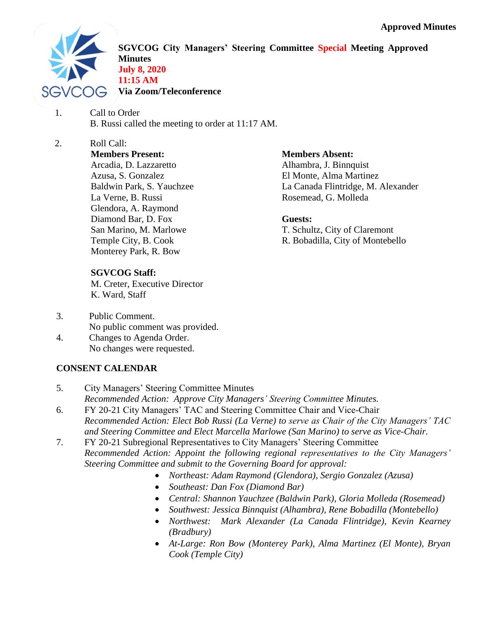

**SGVCOG City Managers' Steering Committee Special Meeting Approved Minutes July 8, 2020 11:15 AM Via Zoom/Teleconference**

- 1. Call to Order B. Russi called the meeting to order at 11:17 AM.
- 2. Roll Call: **Members Present:** Arcadia, D. Lazzaretto Azusa, S. Gonzalez Baldwin Park, S. Yauchzee La Verne, B. Russi Glendora, A. Raymond Diamond Bar, D. Fox San Marino, M. Marlowe Temple City, B. Cook Monterey Park, R. Bow

# **SGVCOG Staff:**

M. Creter, Executive Director K. Ward, Staff

- 3. Public Comment. No public comment was provided.
- 4. Changes to Agenda Order. No changes were requested.

## **CONSENT CALENDAR**

- 5. City Managers' Steering Committee Minutes *Recommended Action: Approve City Managers' Steering Committee Minutes.* 6. FY 20-21 City Managers' TAC and Steering Committee Chair and Vice-Chair
- *Recommended Action: Elect Bob Russi (La Verne) to serve as Chair of the City Managers' TAC and Steering Committee and Elect Marcella Marlowe (San Marino) to serve as Vice-Chair.*
- 7. FY 20-21 Subregional Representatives to City Managers' Steering Committee *Recommended Action: Appoint the following regional representatives to the City Managers' Steering Committee and submit to the Governing Board for approval:* 
	- *Northeast: Adam Raymond (Glendora), Sergio Gonzalez (Azusa)*
	- *Southeast: Dan Fox (Diamond Bar)*
	- *Central: Shannon Yauchzee (Baldwin Park), Gloria Molleda (Rosemead)*
	- *Southwest: Jessica Binnquist (Alhambra), Rene Bobadilla (Montebello)*
	- *Northwest: Mark Alexander (La Canada Flintridge), Kevin Kearney (Bradbury)*
	- *At-Large: Ron Bow (Monterey Park), Alma Martinez (El Monte), Bryan Cook (Temple City)*

#### **Members Absent:**

Alhambra, J. Binnquist El Monte, Alma Martinez La Canada Flintridge, M. Alexander Rosemead, G. Molleda

#### **Guests:**

T. Schultz, City of Claremont R. Bobadilla, City of Montebello